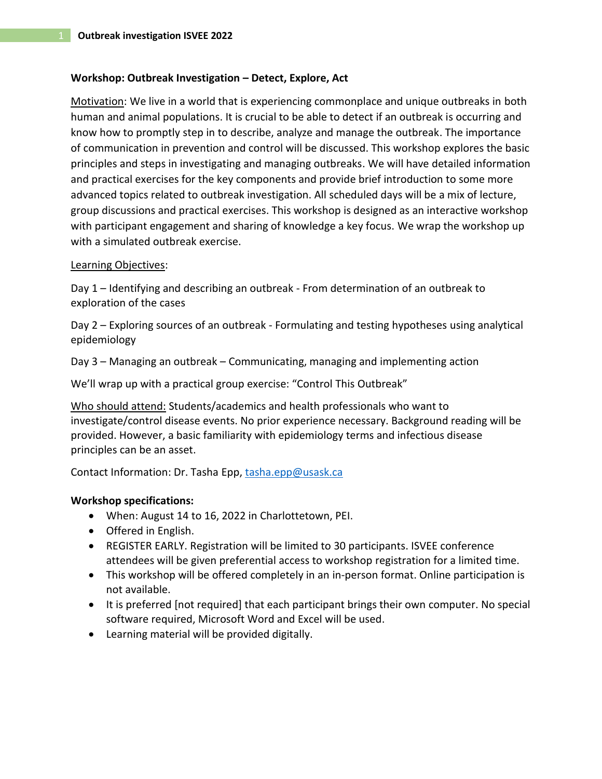#### **Workshop: Outbreak Investigation – Detect, Explore, Act**

Motivation: We live in a world that is experiencing commonplace and unique outbreaks in both human and animal populations. It is crucial to be able to detect if an outbreak is occurring and know how to promptly step in to describe, analyze and manage the outbreak. The importance of communication in prevention and control will be discussed. This workshop explores the basic principles and steps in investigating and managing outbreaks. We will have detailed information and practical exercises for the key components and provide brief introduction to some more advanced topics related to outbreak investigation. All scheduled days will be a mix of lecture, group discussions and practical exercises. This workshop is designed as an interactive workshop with participant engagement and sharing of knowledge a key focus. We wrap the workshop up with a simulated outbreak exercise.

## Learning Objectives:

Day 1 – Identifying and describing an outbreak - From determination of an outbreak to exploration of the cases

Day 2 – Exploring sources of an outbreak - Formulating and testing hypotheses using analytical epidemiology

Day 3 – Managing an outbreak – Communicating, managing and implementing action

We'll wrap up with a practical group exercise: "Control This Outbreak"

Who should attend: Students/academics and health professionals who want to investigate/control disease events. No prior experience necessary. Background reading will be provided. However, a basic familiarity with epidemiology terms and infectious disease principles can be an asset.

Contact Information: Dr. Tasha Epp, [tasha.epp@usask.ca](mailto:tasha.epp@usask.ca?subject=ISVEE%20Outbreak%20Workshop%20Query)

# **Workshop specifications:**

- When: August 14 to 16, 2022 in Charlottetown, PEI.
- Offered in English.
- REGISTER EARLY. Registration will be limited to 30 participants. ISVEE conference attendees will be given preferential access to workshop registration for a limited time.
- This workshop will be offered completely in an in-person format. Online participation is not available.
- It is preferred [not required] that each participant brings their own computer. No special software required, Microsoft Word and Excel will be used.
- Learning material will be provided digitally.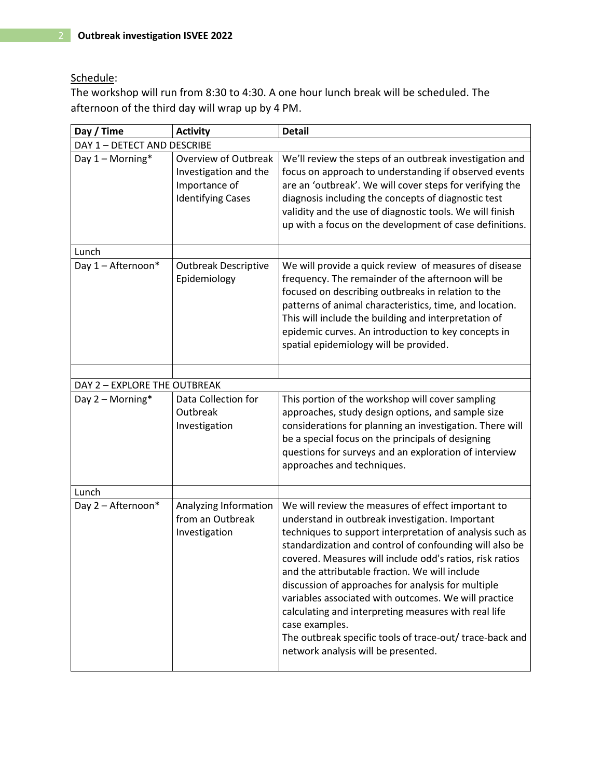# Schedule:

The workshop will run from 8:30 to 4:30. A one hour lunch break will be scheduled. The afternoon of the third day will wrap up by 4 PM.

| Day / Time                   | <b>Activity</b>                                                                            | <b>Detail</b>                                                                                                                                                                                                                                                                                                                                                                                                                                                                                                                                                                                                                         |  |
|------------------------------|--------------------------------------------------------------------------------------------|---------------------------------------------------------------------------------------------------------------------------------------------------------------------------------------------------------------------------------------------------------------------------------------------------------------------------------------------------------------------------------------------------------------------------------------------------------------------------------------------------------------------------------------------------------------------------------------------------------------------------------------|--|
| DAY 1 - DETECT AND DESCRIBE  |                                                                                            |                                                                                                                                                                                                                                                                                                                                                                                                                                                                                                                                                                                                                                       |  |
| Day $1 -$ Morning*           | Overview of Outbreak<br>Investigation and the<br>Importance of<br><b>Identifying Cases</b> | We'll review the steps of an outbreak investigation and<br>focus on approach to understanding if observed events<br>are an 'outbreak'. We will cover steps for verifying the<br>diagnosis including the concepts of diagnostic test<br>validity and the use of diagnostic tools. We will finish<br>up with a focus on the development of case definitions.                                                                                                                                                                                                                                                                            |  |
| Lunch                        |                                                                                            |                                                                                                                                                                                                                                                                                                                                                                                                                                                                                                                                                                                                                                       |  |
| Day 1 - Afternoon*           | <b>Outbreak Descriptive</b><br>Epidemiology                                                | We will provide a quick review of measures of disease<br>frequency. The remainder of the afternoon will be<br>focused on describing outbreaks in relation to the<br>patterns of animal characteristics, time, and location.<br>This will include the building and interpretation of<br>epidemic curves. An introduction to key concepts in<br>spatial epidemiology will be provided.                                                                                                                                                                                                                                                  |  |
|                              |                                                                                            |                                                                                                                                                                                                                                                                                                                                                                                                                                                                                                                                                                                                                                       |  |
| DAY 2 - EXPLORE THE OUTBREAK |                                                                                            |                                                                                                                                                                                                                                                                                                                                                                                                                                                                                                                                                                                                                                       |  |
| Day 2 - Morning*             | Data Collection for<br>Outbreak<br>Investigation                                           | This portion of the workshop will cover sampling<br>approaches, study design options, and sample size<br>considerations for planning an investigation. There will<br>be a special focus on the principals of designing<br>questions for surveys and an exploration of interview<br>approaches and techniques.                                                                                                                                                                                                                                                                                                                         |  |
| Lunch                        |                                                                                            |                                                                                                                                                                                                                                                                                                                                                                                                                                                                                                                                                                                                                                       |  |
| Day 2 - Afternoon*           | Analyzing Information<br>from an Outbreak<br>Investigation                                 | We will review the measures of effect important to<br>understand in outbreak investigation. Important<br>techniques to support interpretation of analysis such as<br>standardization and control of confounding will also be<br>covered. Measures will include odd's ratios, risk ratios<br>and the attributable fraction. We will include<br>discussion of approaches for analysis for multiple<br>variables associated with outcomes. We will practice<br>calculating and interpreting measures with real life<br>case examples.<br>The outbreak specific tools of trace-out/ trace-back and<br>network analysis will be presented. |  |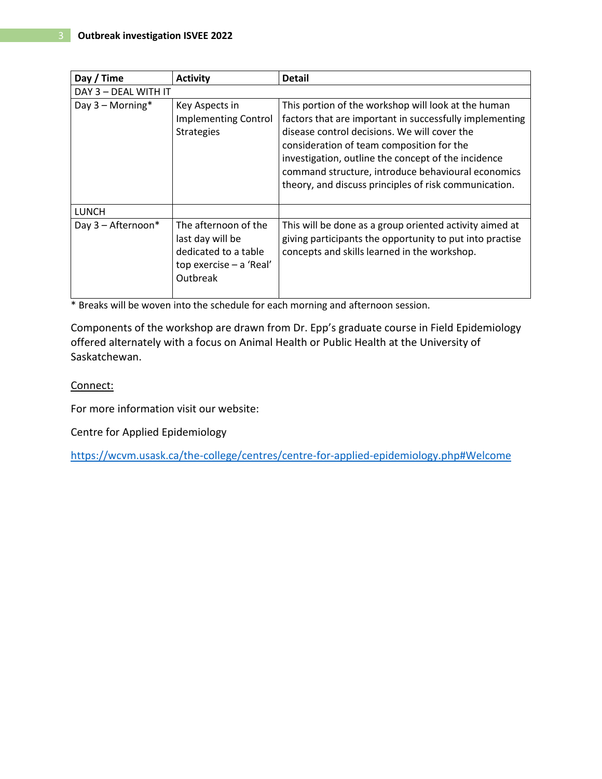| Day / Time           | <b>Activity</b>                                                                                         | <b>Detail</b>                                                                                                                                                                                                                                                                                                                                                                     |  |
|----------------------|---------------------------------------------------------------------------------------------------------|-----------------------------------------------------------------------------------------------------------------------------------------------------------------------------------------------------------------------------------------------------------------------------------------------------------------------------------------------------------------------------------|--|
| DAY 3 - DEAL WITH IT |                                                                                                         |                                                                                                                                                                                                                                                                                                                                                                                   |  |
| Day 3 - Morning*     | Key Aspects in<br><b>Implementing Control</b><br><b>Strategies</b>                                      | This portion of the workshop will look at the human<br>factors that are important in successfully implementing<br>disease control decisions. We will cover the<br>consideration of team composition for the<br>investigation, outline the concept of the incidence<br>command structure, introduce behavioural economics<br>theory, and discuss principles of risk communication. |  |
| <b>LUNCH</b>         |                                                                                                         |                                                                                                                                                                                                                                                                                                                                                                                   |  |
| Day 3 - Afternoon*   | The afternoon of the<br>last day will be<br>dedicated to a table<br>top exercise - a 'Real'<br>Outbreak | This will be done as a group oriented activity aimed at<br>giving participants the opportunity to put into practise<br>concepts and skills learned in the workshop.                                                                                                                                                                                                               |  |

\* Breaks will be woven into the schedule for each morning and afternoon session.

Components of the workshop are drawn from Dr. Epp's graduate course in Field Epidemiology offered alternately with a focus on Animal Health or Public Health at the University of Saskatchewan.

## Connect:

For more information visit our website:

Centre for Applied Epidemiology

<https://wcvm.usask.ca/the-college/centres/centre-for-applied-epidemiology.php#Welcome>